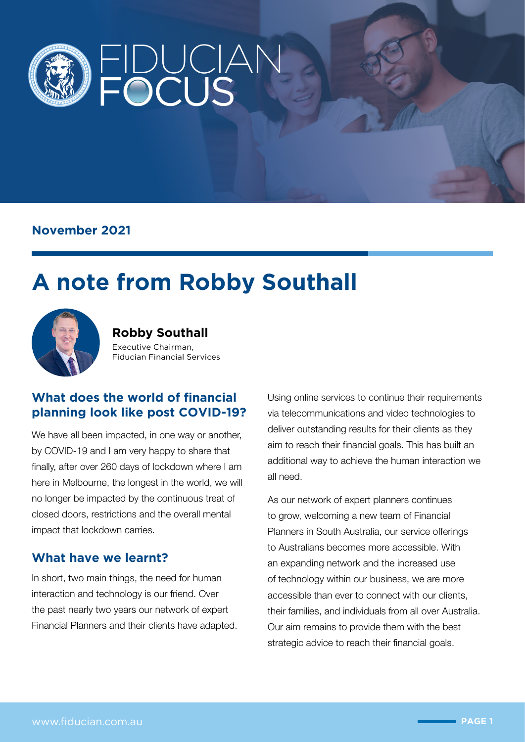

### **November 2021**

# **A note from Robby Southall**



**Robby Southall** Executive Chairman, Fiducian Financial Services

#### **What does the world of financial planning look like post COVID-19?**

We have all been impacted, in one way or another, by COVID-19 and I am very happy to share that finally, after over 260 days of lockdown where I am here in Melbourne, the longest in the world, we will no longer be impacted by the continuous treat of closed doors, restrictions and the overall mental impact that lockdown carries.

#### **What have we learnt?**

In short, two main things, the need for human interaction and technology is our friend. Over the past nearly two years our network of expert Financial Planners and their clients have adapted. Using online services to continue their requirements via telecommunications and video technologies to deliver outstanding results for their clients as they aim to reach their financial goals. This has built an additional way to achieve the human interaction we all need.

As our network of expert planners continues to grow, welcoming a new team of Financial Planners in South Australia, our service offerings to Australians becomes more accessible. With an expanding network and the increased use of technology within our business, we are more accessible than ever to connect with our clients, their families, and individuals from all over Australia. Our aim remains to provide them with the best strategic advice to reach their financial goals.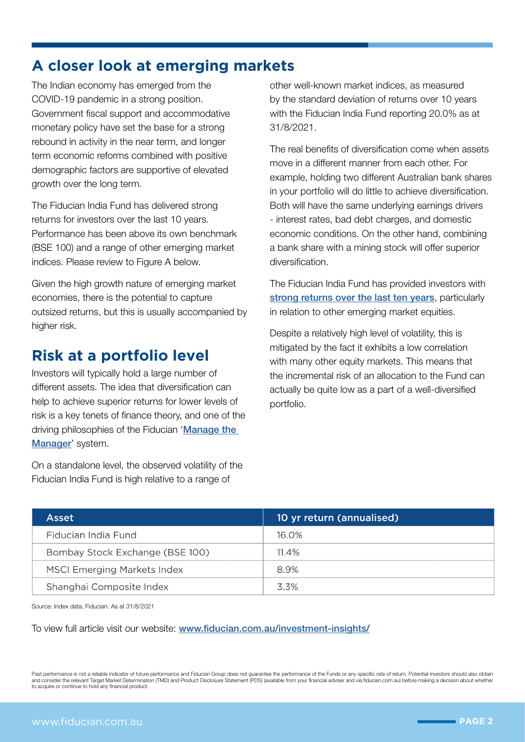# **A closer look at emerging markets**

The Indian economy has emerged from the COVID-19 pandemic in a strong position. Government fiscal support and accommodative monetary policy have set the base for a strong rebound in activity in the near term, and longer term economic reforms combined with positive demographic factors are supportive of elevated growth over the long term.

The Fiducian India Fund has delivered strong returns for investors over the last 10 years. Performance has been above its own benchmark (BSE 100) and a range of other emerging market indices. Please review to Figure A below.

Given the high growth nature of emerging market economies, there is the potential to capture outsized returns, but this is usually accompanied by higher risk.

# **Risk at a portfolio level**

Investors will typically hold a large number of different assets. The idea that diversification can help to achieve superior returns for lower levels of risk is a key tenets of finance theory, and one of the driving philosophies of the Fiducian '[Manage the](https://www.fiducian.com.au/investments/manage-the-manager-system/)  [Manager](https://www.fiducian.com.au/investments/manage-the-manager-system/)' system.

On a standalone level, the observed volatility of the Fiducian India Fund is high relative to a range of

other well-known market indices, as measured by the standard deviation of returns over 10 years with the Fiducian India Fund reporting 20.0% as at 31/8/2021.

The real benefits of diversification come when assets move in a different manner from each other. For example, holding two different Australian bank shares in your portfolio will do little to achieve diversification. Both will have the same underlying earnings drivers - interest rates, bad debt charges, and domestic economic conditions. On the other hand, combining a bank share with a mining stock will offer superior diversification.

The Fiducian India Fund has provided investors with [strong returns over the last ten years](https://www.fiducian.com.au/investments/fund-performance/fiducian-funds/), particularly in relation to other emerging market equities.

Despite a relatively high level of volatility, this is mitigated by the fact it exhibits a low correlation with many other equity markets. This means that the incremental risk of an allocation to the Fund can actually be quite low as a part of a well-diversified portfolio.

| Asset                              | 10 yr return (annualised) |
|------------------------------------|---------------------------|
| Fiducian India Fund                | 16.O%                     |
| Bombay Stock Exchange (BSE 100)    | $11.4\%$                  |
| <b>MSCI Emerging Markets Index</b> | 8.9%                      |
| Shanghai Composite Index           | 3.3%                      |

Source: Index data, Fiducian. As at 31/8/2021

To view full article visit our website: [www.fiducian.com.au/investment-insights/](http://www.fiducian.com.au/investment-insights/)

Past performance is not a reliable indicator of future performance and Fiducian Group does not guarantee the performance of the Funds or any specific rate of return. Potential investors should also obtain<br>and consider the to acquire or continue to hold any financial product.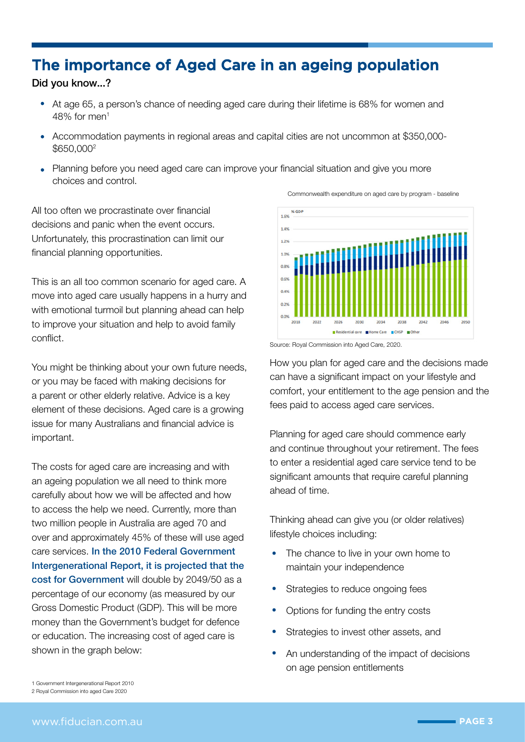## The importance of Aged Care in an ageing population

#### Did you know...?

- At age 65, a person's chance of needing aged care during their lifetime is 68% for women and  $48\%$  for men<sup>1</sup>
- Accommodation payments in regional areas and capital cities are not uncommon at \$350,000- \$650,0002
- Planning before you need aged care can improve your financial situation and give you more choices and control.

All too often we procrastinate over financial decisions and panic when the event occurs. Unfortunately, this procrastination can limit our financial planning opportunities.

This is an all too common scenario for aged care. A move into aged care usually happens in a hurry and with emotional turmoil but planning ahead can help to improve your situation and help to avoid family conflict.

You might be thinking about your own future needs, or you may be faced with making decisions for a parent or other elderly relative. Advice is a key element of these decisions. Aged care is a growing issue for many Australians and financial advice is important.

The costs for aged care are increasing and with an ageing population we all need to think more carefully about how we will be affected and how to access the help we need. Currently, more than two million people in Australia are aged 70 and over and approximately 45% of these will use aged care services. In the 2010 Federal Government Intergenerational Report, it is projected that the cost for Government will double by 2049/50 as a percentage of our economy (as measured by our Gross Domestic Product (GDP). This will be more money than the Government's budget for defence or education. The increasing cost of aged care is shown in the graph below:



Commonwealth expenditure on aged care by program - baseline



How you plan for aged care and the decisions made can have a significant impact on your lifestyle and comfort, your entitlement to the age pension and the fees paid to access aged care services.

Planning for aged care should commence early and continue throughout your retirement. The fees to enter a residential aged care service tend to be significant amounts that require careful planning ahead of time.

Thinking ahead can give you (or older relatives) lifestyle choices including:

- The chance to live in your own home to maintain your independence
- Strategies to reduce ongoing fees
- Options for funding the entry costs
- Strategies to invest other assets, and
- An understanding of the impact of decisions on age pension entitlements

<sup>1</sup> Government Intergenerational Report 2010

<sup>2</sup> Royal Commission into aged Care 2020